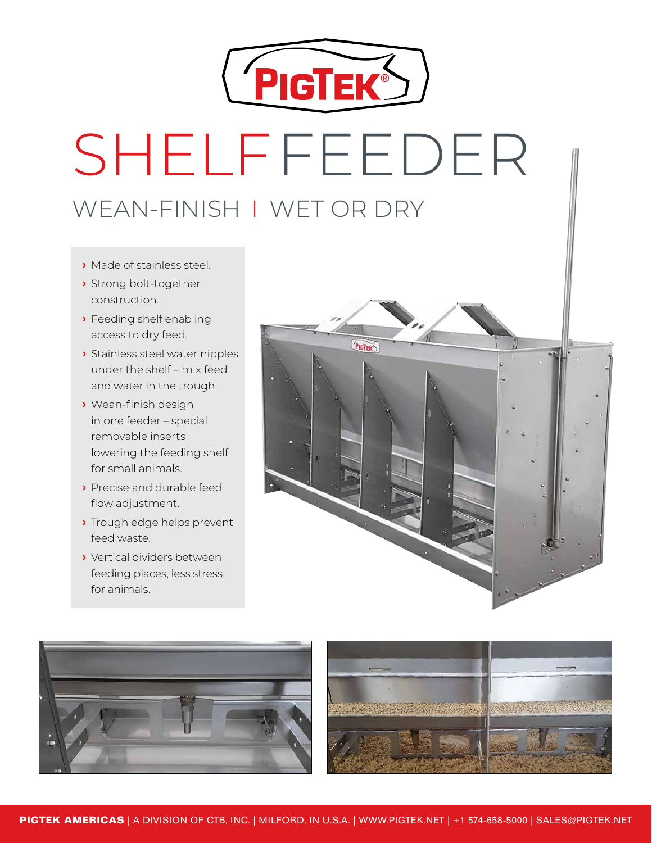

# SHELFFEEDER WEAN-FINISH | WET OR DRY CHIFIERENER UITELIT EEL

- **›** Made of stainless steel.
- **›** Strong bolt-together construction.
- **›** Feeding shelf enabling access to dry feed.
- **>** Stainless steel water nipples under the shelf - mix feed and water in the trough.
- **›** Wean-finish design in one feeder – special removable inserts lowering the feeding shelf for small animals.
- **›** Precise and durable feed flow adjustment.
- **›** Trough edge helps prevent feed waste.
- **›** Vertical dividers between feeding places, less stress for animals.



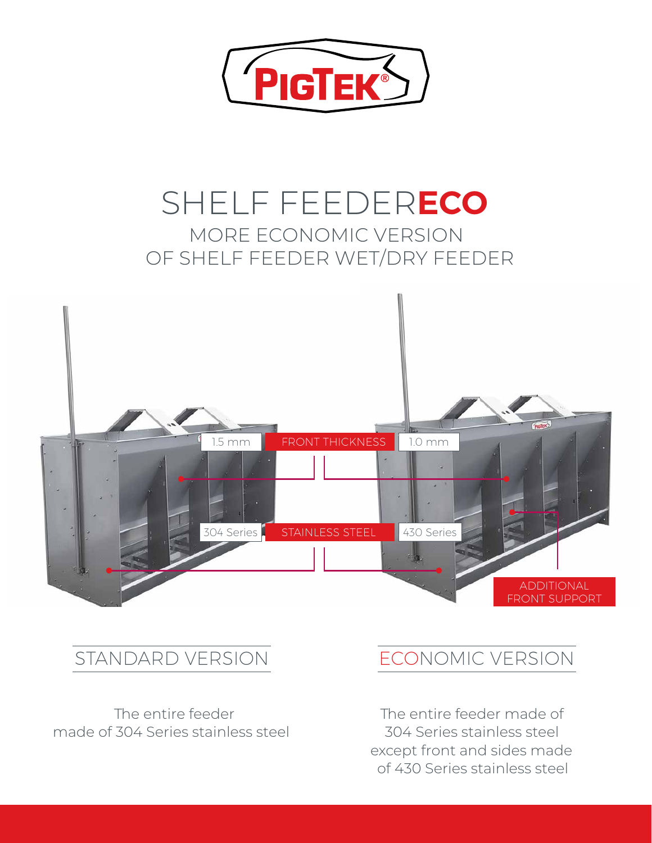

### SHELF FEEDER**ECO** MORE ECONOMIC VERSION OF SHELF FEEDER WET/DRY FEEDER



### STANDARD VERSION **ECONOMIC VERSION**

The entire feeder made of 304 Series stainless steel

The entire feeder made of 304 Series stainless steel except front and sides made of 430 Series stainless steel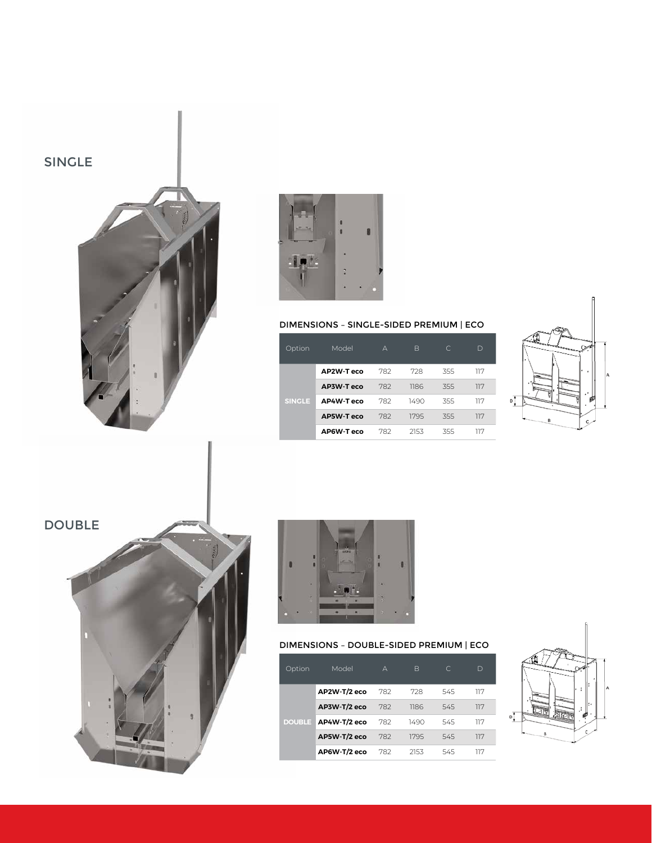



#### DIMENSIONS – SINGLE-SIDED PREMIUM | ECO

| <b>Option</b> | Model             | А   | B    | $\subset$ | D   |
|---------------|-------------------|-----|------|-----------|-----|
| <b>SINGLE</b> | AP2W-Teco         | 782 | 728  | 355       | 117 |
|               | AP3W-T eco        | 782 | 1186 | 355       | 117 |
|               | AP4W-Teco         | 782 | 1490 | 355       | 117 |
|               | <b>AP5W-T eco</b> | 782 | 1795 | 355       | 117 |
|               | AP6W-T eco        | 782 | 2153 | 355       | 117 |







#### DIMENSIONS – DOUBLE-SIDED PREMIUM | ECO

| Option        | Model        | А   | B    | C   | D   |
|---------------|--------------|-----|------|-----|-----|
| <b>DOUBLE</b> | AP2W-T/2 eco | 782 | 728  | 545 | 117 |
|               | AP3W-T/2 eco | 782 | 1186 | 545 | 117 |
|               | AP4W-T/2 eco | 782 | 1490 | 545 | 117 |
|               | AP5W-T/2 eco | 782 | 1795 | 545 | 117 |
|               | AP6W-T/2 eco | 782 | 2153 | 545 | 117 |